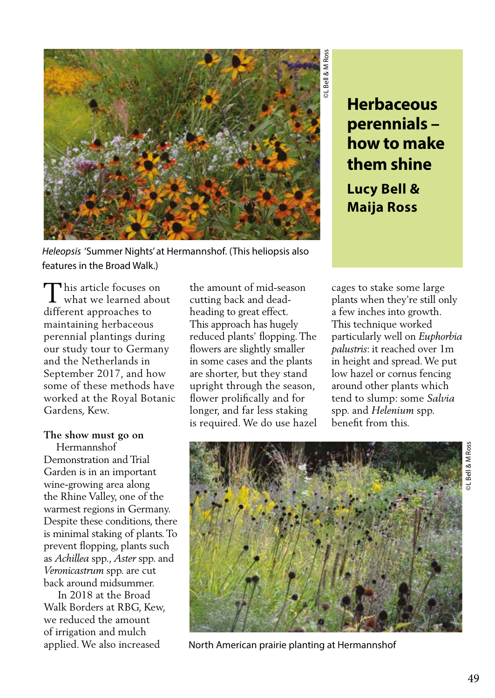

*Heleopsis* 'Summer Nights' at Hermannshof. (This heliopsis also features in the Broad Walk.)

**perennials – how to make them shine Lucy Bell & Maija Ross**

his article focuses on This article focuses on<br>what we learned about different approaches to maintaining herbaceous perennial plantings during our study tour to Germany and the Netherlands in September 2017, and how some of these methods have worked at the Royal Botanic Gardens, Kew.

# **The show must go on**

 Hermannshof Demonstration and Trial Garden is in an important wine-growing area along the Rhine Valley, one of the warmest regions in Germany. Despite these conditions, there is minimal staking of plants. To prevent flopping, plants such as *Achillea* spp., *Aster* spp. and *Veronicastrum* spp. are cut back around midsummer.

 In 2018 at the Broad Walk Borders at RBG, Kew, we reduced the amount of irrigation and mulch applied. We also increased

the amount of mid-season cutting back and deadheading to great effect. This approach has hugely reduced plants' flopping. The flowers are slightly smaller in some cases and the plants are shorter, but they stand upright through the season, flower prolifically and for longer, and far less staking is required. We do use hazel

cages to stake some large plants when they're still only a few inches into growth. This technique worked particularly well on *Euphorbia palustris*: it reached over 1m in height and spread. We put low hazel or cornus fencing around other plants which tend to slump: some *Salvia* spp. and *Helenium* spp. benefit from this.



North American prairie planting at Hermannshof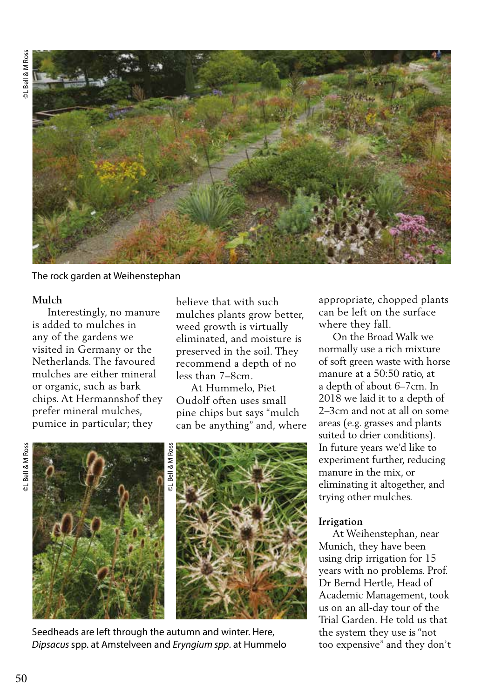

The rock garden at Weihenstephan

# **Mulch**

 Interestingly, no manure is added to mulches in any of the gardens we visited in Germany or the Netherlands. The favoured mulches are either mineral or organic, such as bark chips. At Hermannshof they prefer mineral mulches, pumice in particular; they

believe that with such mulches plants grow better, weed growth is virtually eliminated, and moisture is preserved in the soil. They recommend a depth of no less than 7–8cm.

 At Hummelo, Piet Oudolf often uses small pine chips but says "mulch can be anything" and, where

**©L** Bell & M Ross ©L Bell & M Ross





Seedheads are left through the autumn and winter. Here, *Dipsacus* spp. at Amstelveen and *Eryngium spp*. at Hummelo appropriate, chopped plants can be left on the surface where they fall.

 On the Broad Walk we normally use a rich mixture of soft green waste with horse manure at a 50:50 ratio, at a depth of about 6–7cm. In 2018 we laid it to a depth of 2–3cm and not at all on some areas (e.g. grasses and plants suited to drier conditions). In future years we'd like to experiment further, reducing manure in the mix, or eliminating it altogether, and trying other mulches.

# **Irrigation**

 At Weihenstephan, near Munich, they have been using drip irrigation for 15 years with no problems. Prof. Dr Bernd Hertle, Head of Academic Management, took us on an all-day tour of the Trial Garden. He told us that the system they use is "not too expensive" and they don't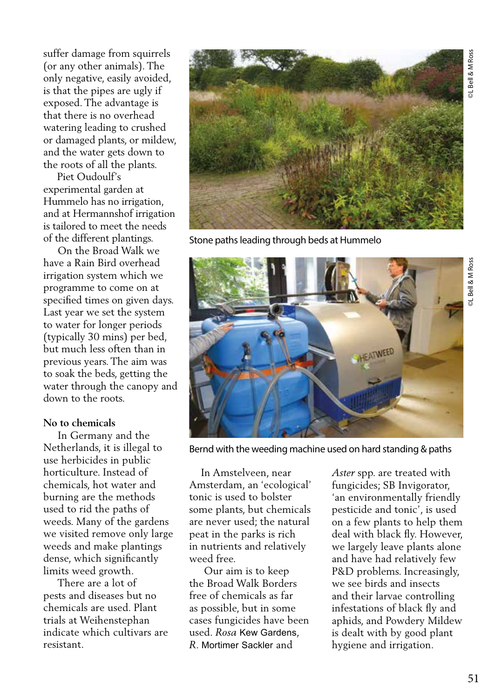suffer damage from squirrels (or any other animals). The only negative, easily avoided, is that the pipes are ugly if exposed. The advantage is that there is no overhead watering leading to crushed or damaged plants, or mildew, and the water gets down to the roots of all the plants.

 Piet Oudoulf's experimental garden at Hummelo has no irrigation, and at Hermannshof irrigation is tailored to meet the needs of the different plantings.

 On the Broad Walk we have a Rain Bird overhead irrigation system which we programme to come on at specified times on given days. Last year we set the system to water for longer periods (typically 30 mins) per bed, but much less often than in previous years. The aim was to soak the beds, getting the water through the canopy and down to the roots.

#### **No to chemicals**

 In Germany and the Netherlands, it is illegal to use herbicides in public horticulture. Instead of chemicals, hot water and burning are the methods used to rid the paths of weeds. Many of the gardens we visited remove only large weeds and make plantings dense, which significantly limits weed growth.

 There are a lot of pests and diseases but no chemicals are used. Plant trials at Weihenstephan indicate which cultivars are resistant.



Stone paths leading through beds at Hummelo



Bernd with the weeding machine used on hard standing & paths

 In Amstelveen, near Amsterdam, an 'ecological' tonic is used to bolster some plants, but chemicals are never used; the natural peat in the parks is rich in nutrients and relatively weed free.

 Our aim is to keep the Broad Walk Borders free of chemicals as far as possible, but in some cases fungicides have been used. *Rosa* Kew Gardens, *R*. Mortimer Sackler and

*Aster* spp. are treated with fungicides; SB Invigorator, 'an environmentally friendly pesticide and tonic', is used on a few plants to help them deal with black fly. However, we largely leave plants alone and have had relatively few P&D problems. Increasingly, we see birds and insects and their larvae controlling infestations of black fly and aphids, and Powdery Mildew is dealt with by good plant hygiene and irrigation.